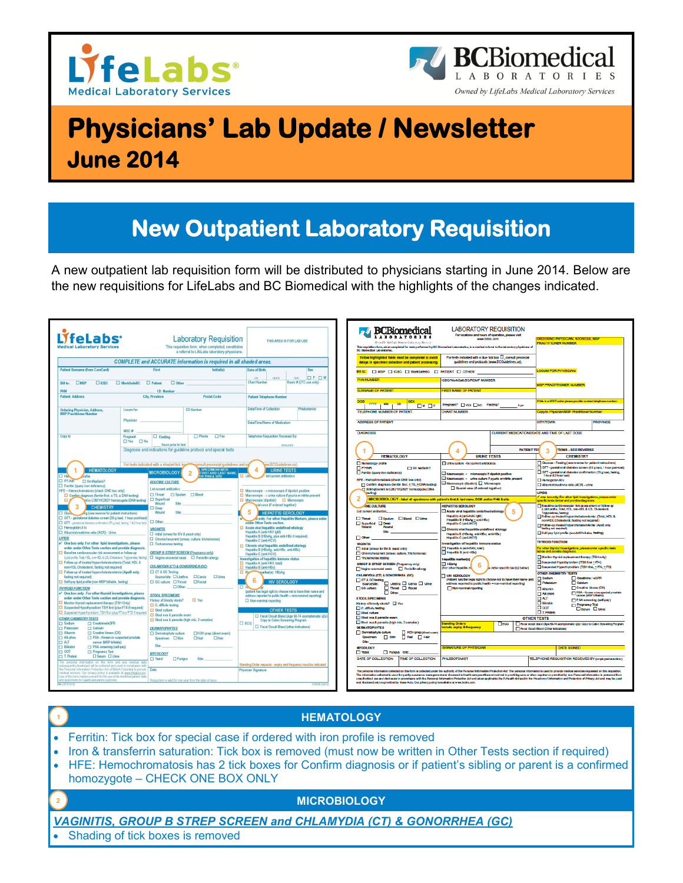



# **Physicians' Lab Update / Newsletter June 2014**

## **New Outpatient Laboratory Requisition**

A new outpatient lab requisition form will be distributed to physicians starting in June 2014. Below are the new requisitions for LifeLabs and BC Biomedical with the highlights of the changes indicated.

| <b>Laboratory Requisition</b><br>This requisition form, when completed, constitutes<br>aboratory Services<br>a referral to LifeLabs laboratory physicians.     |                                                                    | THIS AREA IS FOR LAB USE                                                                                                                         |                                                                                                                             | <b>BCBiomedical</b><br>One of the CASA Artifician CA discovered Sources<br><b>BC Biomedical Laboratories</b>  | <b>LABORATORY REQUISITION</b><br>For locations and hours of coeration, please visit<br>www.behin.com<br>This requisition form, when completed for tests performed by BC Blomediael Leboratories, is a medical referrel to the isbore bryphysicians of                                                                                                                                                                                        |                                                                                                                                                                      | <b>JERING PHYSICIAN ADDRESS MSI</b><br><b>PRACTITIONER NUMBER</b>                                                  |                                                                                                                                                                                                                                                 |                                                            |
|----------------------------------------------------------------------------------------------------------------------------------------------------------------|--------------------------------------------------------------------|--------------------------------------------------------------------------------------------------------------------------------------------------|-----------------------------------------------------------------------------------------------------------------------------|---------------------------------------------------------------------------------------------------------------|----------------------------------------------------------------------------------------------------------------------------------------------------------------------------------------------------------------------------------------------------------------------------------------------------------------------------------------------------------------------------------------------------------------------------------------------|----------------------------------------------------------------------------------------------------------------------------------------------------------------------|--------------------------------------------------------------------------------------------------------------------|-------------------------------------------------------------------------------------------------------------------------------------------------------------------------------------------------------------------------------------------------|------------------------------------------------------------|
| <b>COMPLETE</b> and ACCURATE information is required in all shaded areas.                                                                                      |                                                                    |                                                                                                                                                  |                                                                                                                             | Yellow highlighted fields must be completed to avoid<br>delays in specimen collection and patient processing. |                                                                                                                                                                                                                                                                                                                                                                                                                                              |                                                                                                                                                                      | For tests indicated with a blue tick box [], consult provincial<br>quidelines and protocols (www.BCGuidelines.ca). |                                                                                                                                                                                                                                                 |                                                            |
| <b>Patient Surname (from CareCard)</b><br>Initial(s)<br>First                                                                                                  |                                                                    |                                                                                                                                                  | <b>Date of Birth</b><br>Sex                                                                                                 |                                                                                                               | Bill to: DIMSP DICBC DI WorkSafeBC DI PATIENT DI OTHER:                                                                                                                                                                                                                                                                                                                                                                                      |                                                                                                                                                                      |                                                                                                                    | <b>OCUM FOR PHYSICIAN:</b>                                                                                                                                                                                                                      |                                                            |
| Bill to: <b>EXAMPLE</b><br>$\square$ ICBC<br>$\Box$ WorkSafeBC<br>$\Box$ Patient<br>$\Box$ Other                                                               |                                                                    |                                                                                                                                                  | <b>OF OM</b><br>nav<br><b>MWTH</b><br>YEAR.<br><b>Chart Number</b><br>Room # (LTC use only)                                 |                                                                                                               |                                                                                                                                                                                                                                                                                                                                                                                                                                              | <b>ICRC/WorkSafeRC/RCMP NUMBER</b>                                                                                                                                   |                                                                                                                    | <b>USP PRACTITIONER NUMBER</b>                                                                                                                                                                                                                  |                                                            |
| <b>PHN</b>                                                                                                                                                     | <b>I.D. Number</b>                                                 |                                                                                                                                                  |                                                                                                                             |                                                                                                               | <b>SURNAME OF PATIENT</b>                                                                                                                                                                                                                                                                                                                                                                                                                    | <b>IRST NAME OF PATIENT</b>                                                                                                                                          |                                                                                                                    |                                                                                                                                                                                                                                                 |                                                            |
| <b>Patient Address</b>                                                                                                                                         | <b>City, Province</b>                                              | <b>Postal Code</b>                                                                                                                               | <b>Patient Telephone Number</b>                                                                                             |                                                                                                               | DOR<br><b>SEX</b>                                                                                                                                                                                                                                                                                                                                                                                                                            |                                                                                                                                                                      |                                                                                                                    | f this is a STAT order please provide contact telephone number:                                                                                                                                                                                 |                                                            |
| <b>Ordering Physician, Address,</b>                                                                                                                            | C0 Number<br>Locum for                                             |                                                                                                                                                  | Date/Time of Collection<br>Phlehotomist                                                                                     |                                                                                                               | <b>YWY</b><br><b>MM</b><br><b>DD</b><br>$\n  W$                                                                                                                                                                                                                                                                                                                                                                                              | Pregnant? YES No Fasting?<br>h pc<br>CHART NUMBER                                                                                                                    |                                                                                                                    |                                                                                                                                                                                                                                                 |                                                            |
| <b>MSP Practitioner Number</b>                                                                                                                                 |                                                                    |                                                                                                                                                  |                                                                                                                             |                                                                                                               | <b>TELEPHONE NUMBER OF PATIENT</b>                                                                                                                                                                                                                                                                                                                                                                                                           |                                                                                                                                                                      |                                                                                                                    | Copy to Physician/MSP Practitioner Number:                                                                                                                                                                                                      |                                                            |
|                                                                                                                                                                | Physician                                                          |                                                                                                                                                  | Date/Time/Name of Medication                                                                                                |                                                                                                               | <b>ADDRESS OF PATIENT</b>                                                                                                                                                                                                                                                                                                                                                                                                                    |                                                                                                                                                                      |                                                                                                                    | <b>CITY/TOWN</b>                                                                                                                                                                                                                                | <b>PROVINCE</b>                                            |
| Copy to                                                                                                                                                        | MSC#<br>$\Box$ Fasting<br>Pregnant                                 | □ Phone □ Fax                                                                                                                                    | Telephone Requisition Received By:                                                                                          |                                                                                                               | <b>DIAGNOSIS</b>                                                                                                                                                                                                                                                                                                                                                                                                                             |                                                                                                                                                                      |                                                                                                                    | CURRENT MEDICATIONS/DATE AND TIME OF LAST DOSE                                                                                                                                                                                                  |                                                            |
|                                                                                                                                                                | □ Yes □ No<br>hours prior to test                                  |                                                                                                                                                  | <b>NTIALDATE</b>                                                                                                            |                                                                                                               |                                                                                                                                                                                                                                                                                                                                                                                                                                              |                                                                                                                                                                      |                                                                                                                    |                                                                                                                                                                                                                                                 |                                                            |
|                                                                                                                                                                | Diagnosis and indications for guideline protocol and special tests |                                                                                                                                                  |                                                                                                                             |                                                                                                               |                                                                                                                                                                                                                                                                                                                                                                                                                                              |                                                                                                                                                                      | <b>PATIENT TE!</b>                                                                                                 | TIONS - SEE REVERSE                                                                                                                                                                                                                             |                                                            |
|                                                                                                                                                                |                                                                    |                                                                                                                                                  |                                                                                                                             |                                                                                                               | <b>HEMATOLOGY</b><br>Hematology profile                                                                                                                                                                                                                                                                                                                                                                                                      | <b>URINE TESTS</b><br><b>IT Ume culture -list current antibiotics:</b>                                                                                               |                                                                                                                    | <b>CHEMISTRY</b><br>Glucose - Fasting (see reverse for patient instructions)                                                                                                                                                                    |                                                            |
| <b>HEMATOLOGY</b>                                                                                                                                              | For tests indicated with a shaded tick box                         | onsult provincial guidelines and pr<br>SPECIMENS WITH<br>FIRST AND LAST NAME                                                                     | ww.RCGuidelines.ca1<br>4<br><b>URINE TESTS</b>                                                                              |                                                                                                               | <b>FIFT-NR</b><br>On warfarin?                                                                                                                                                                                                                                                                                                                                                                                                               |                                                                                                                                                                      |                                                                                                                    | GTT- gestational diabetes screen (50 g load, 1 hour post-load)                                                                                                                                                                                  |                                                            |
| <b>MICROBIOLOGY</b><br><b>DHA</b><br><b>RPHN&amp;SITE</b>                                                                                                      |                                                                    |                                                                                                                                                  | list current antibiotics:<br><b>THE</b>                                                                                     |                                                                                                               | Ferrith (query iron deficiency)<br>HFE - Hemochromatosis (check ONE box only)                                                                                                                                                                                                                                                                                                                                                                | Macroscopic - microscopic if dipstick positive<br>Macroscopic + urine culture if pyuria or nitrite present                                                           |                                                                                                                    | GTT - gestational diabetes confirmation (75 g load, feeting,<br>1 hour & 2 hour test)<br>Hamoglobin A1c                                                                                                                                         |                                                            |
| <b>D</b> PT-INR<br>□ On Warfarin?<br><b>ROUTINE CULTURE</b><br>Ferritin (query iron deficiency)                                                                |                                                                    |                                                                                                                                                  |                                                                                                                             |                                                                                                               | Macroscopic (dipstick) Microscopic<br>Confirm diagnosis (for ith first, ±TS, ±DNA testing)<br>Special case (if ordered together)                                                                                                                                                                                                                                                                                                             |                                                                                                                                                                      |                                                                                                                    | Albuminicreatinine ratio (ACR) - urine                                                                                                                                                                                                          |                                                            |
| List current antibiotics<br>HFE - Hemochromatosis (check ONE box only)<br>□ Throat □ Soutum □ Blood<br>Confirm diagnosis (ferritin first, ± TS, ± DNA testing) |                                                                    | $\Box$ Macroscopic $\rightarrow$ microscopic if dipstick positive<br>$\Box$ Macroscopic $\rightarrow$ urine culture if pyuria or nitrite present |                                                                                                                             | String parent is C282 WC282Y homozygole (DNA<br>desfinal                                                      |                                                                                                                                                                                                                                                                                                                                                                                                                                              |                                                                                                                                                                      |                                                                                                                    | LIPIDS<br>one box only. For other lipid investigations, please order                                                                                                                                                                            |                                                            |
| of is C282Y/C282Y homozygote (DNA testing)<br>$\square$                                                                                                        | Superficial<br><b>Wound</b>                                        |                                                                                                                                                  | Macroscopic (dipstick) D Microscopic<br>cial case (if ordered together)                                                     |                                                                                                               | MICROBIOLOGY - label all specimens with patient's first & last name, DOB and/or PHN & site                                                                                                                                                                                                                                                                                                                                                   |                                                                                                                                                                      |                                                                                                                    | specific tests below and provide diagnosis.                                                                                                                                                                                                     |                                                            |
| 3<br><b>CHEMISTRY</b><br>Deep<br>ing (see reverse for patient instructions)<br><b>Wound</b><br>$\Box$ Gluck                                                    |                                                                    |                                                                                                                                                  | -5<br><b>HEPATITIS SEROLOGY</b>                                                                                             |                                                                                                               | INE CULTURE<br>List current antibiotics:                                                                                                                                                                                                                                                                                                                                                                                                     | <b>HEPATITIS SEROLOGY</b><br>Acute viral hepatitis undefined etiology<br>5<br>Headils A(anti-HAV (dM)<br><b>Dischum Discod Dume</b><br>Hepattis B (HBsAg + arti-HBc) |                                                                                                                    | Baseline cardiovascular risk assessment or follow-up<br>(Lipid profile, Total, HDL, non-HDL & LDL Choiastero),<br>Triglycerides, fasting)<br>Follow-up treated hypercholesterolemia: (Total, HDL &<br>non-HDL Cholesterd, fasting not required) |                                                            |
| GTT - gestational diabetes screen (50 g load, 1 hour post-load)                                                                                                |                                                                    | $\Box$ Other:<br>under Other Tests section.                                                                                                      |                                                                                                                             | x only. For other Hepatitis Markers, please order<br>$\Box$ Throat                                            |                                                                                                                                                                                                                                                                                                                                                                                                                                              |                                                                                                                                                                      |                                                                                                                    |                                                                                                                                                                                                                                                 |                                                            |
| GTT - gestational diabetes confirmation (75 g load, fasting, 1 & 2 hour test)<br>$\Box$ Hemoglobin A1c                                                         | <b>VAGINITIS</b>                                                   | Acute viral hepatitis undefined etiology                                                                                                         |                                                                                                                             |                                                                                                               | <b>Naverfield N</b> Deep<br>Wright<br><b><i><u>Minuted</u></i></b>                                                                                                                                                                                                                                                                                                                                                                           | <b>Headils C (anti-HCV)</b><br>Chronic viral hepatitis undefined at blogy                                                                                            |                                                                                                                    | Follow-up treated hypercholesterolemia (ApoB only,<br>fasting not required)                                                                                                                                                                     |                                                            |
| Albumin/creatinine ratio (ACR) - Urine<br><b>UPIDS</b>                                                                                                         | □ Initial (smear for BV & veast only)                              | Chronic/recurrent (smear, culture, trichomonas)                                                                                                  | Hepatitis A (anti-HAV lgM)<br>Hepatitis B (HBsAg, plus anti-HBc if required)                                                |                                                                                                               | Site:<br>$\Box$ Other:                                                                                                                                                                                                                                                                                                                                                                                                                       | Hepatifs B (HBsAg anti-HBc; anti-HBs)<br><b>Headils C(ant-HCV)</b>                                                                                                   |                                                                                                                    | Self-pay lipid profile (non-MSP billable, fasting)                                                                                                                                                                                              |                                                            |
| $\checkmark$ One box only, For other lipid investigations, please<br>order under Other Tests section and provide diagnosis.                                    | $\Box$ Trichomonas testing                                         |                                                                                                                                                  | Hepatitis C (anti-HCV)<br>□ Chronic viral hepatitis undefined etiology                                                      |                                                                                                               | <b>VAGINITIS</b>                                                                                                                                                                                                                                                                                                                                                                                                                             | nvestigation of hepatitis immune status<br>Hepattis A (anti-HAV, total)                                                                                              |                                                                                                                    | <b>THYROID FUNCTION</b><br>For other thurcid investigations, please order specific tests                                                                                                                                                        |                                                            |
| Baseline cardiovascular risk assessment or follow-up                                                                                                           |                                                                    | <b>GROUP B STREP SCREEN (Pregnancy only)</b>                                                                                                     | Hepatitis B (HBsAg, anti-HBc, anti-HBs)<br>Hepatitis C (anti-HCV)                                                           |                                                                                                               | Initial (smear br BV & yeast only)<br>Chronic/recurrent (smear, culture, Trichomonas)                                                                                                                                                                                                                                                                                                                                                        | Hepattis B (ant-HBs)<br>Hepatitis marker(s)<br><b>ITT HBsAg</b><br>6<br>a retar spacific tastis) hairwi<br>(For other hegatitis m)                                   |                                                                                                                    | alow and provide diagnosis.<br>Monitor thyroid replacement therapy (TSH only)<br>Suspected Hypothyroidism (TSH find +fT4)<br>Suspected Hyperthyroidism (TSH first, +1T4, +1T3)<br><b>OTHER CHEMISTRY TESTS</b>                                  |                                                            |
| (Ligid profile, Total, HDL, non-HDL & LDL Cholestero), Triglucerides, fasting<br>Follow-up of treated hypercholesterolemia (Total, HDL &                       |                                                                    | $\Box$ Vagino-anorectal swab $\Box$ Penicilin allergy                                                                                            | Investigation of hepatitis immune status<br>Hepatitis A (anti-HAV, total)                                                   |                                                                                                               | Thichomonas testing<br>GROUP B STREP SCREEN (Pregnancy only)                                                                                                                                                                                                                                                                                                                                                                                 |                                                                                                                                                                      |                                                                                                                    |                                                                                                                                                                                                                                                 |                                                            |
| non-HDL Cholesterol, fasting not required)<br>Follow-up of treated hypercholesterolemia (ApoB only,                                                            | CHLAMYDIA (CT) & GONORRHEA (GC)<br>CT & GC Testing                 |                                                                                                                                                  | Hepatitis B (anti-HBs)<br>$\Box$ Her<br>marker(s) HBsAg                                                                     |                                                                                                               | Vagin anomodal swab <b>D</b> Panisitin allargy                                                                                                                                                                                                                                                                                                                                                                                               |                                                                                                                                                                      |                                                                                                                    |                                                                                                                                                                                                                                                 |                                                            |
| fasting not required)<br>Self-pay lipid profile (non-MSP billable, fasting)                                                                                    | Source/site: O Urethra<br>□ GC culture: □ Throat                   | $□$ Unine<br><b>Cervix</b><br>$\Box$ Rectal                                                                                                      | -6<br><b>HIV SEROLOGY</b>                                                                                                   |                                                                                                               | CHLAMYDIA (CT) & GONORRHEA (GC)<br>CT&GCtesting                                                                                                                                                                                                                                                                                                                                                                                              | <b>THIV SEROLOGY</b><br>(Patient has the legal right to choose not to have their name and                                                                            |                                                                                                                    | $\Box$ Sodum                                                                                                                                                                                                                                    | Creatnine / eGFR                                           |
| <b>THYROID FUNCTION</b>                                                                                                                                        | Other:                                                             |                                                                                                                                                  |                                                                                                                             |                                                                                                               | Source/ste: $\square$ Urethra $\square$ Cervix $\square$ Ume<br>GC culture: Throat El Rectal                                                                                                                                                                                                                                                                                                                                                 | address reported to public health = non-nominal reporting)<br>Non-nominal reporting                                                                                  |                                                                                                                    | Potassium<br>Albumin                                                                                                                                                                                                                            | <b>Calcium</b><br>Creatine kinase (CK)                     |
| $\checkmark$ One box only. For other thyroid investigations, please<br><b>STOOL SPECIMENS</b><br>order under Other Tests section and provide diagnosis,        |                                                                    |                                                                                                                                                  | (patient has legal right to choose not to have their name and<br>address reported to public health - non-nominal reporting) |                                                                                                               | $\Box$ Other:<br><b>STOOL SPECIMENS</b>                                                                                                                                                                                                                                                                                                                                                                                                      |                                                                                                                                                                      |                                                                                                                    | Ak phos<br><b>TIALT</b>                                                                                                                                                                                                                         | PSA - Known or suspected prostate<br>cancer (MSP billable) |
| Monitor thyroid replacement therapy (TSH Only)<br>Suspected Hypothyroidism TSH first (plus FT4 if required)                                                    | History of bloody stools?<br>C. difficile testing                  | $\Box$ Yes                                                                                                                                       | Non-nominal reporting                                                                                                       |                                                                                                               | History of bloody stock? Nes                                                                                                                                                                                                                                                                                                                                                                                                                 |                                                                                                                                                                      |                                                                                                                    | <b>Tistaph</b><br>$\Box$ corr                                                                                                                                                                                                                   | PSA screening (self-pay)<br>Pregnancy Test                 |
| Suspected Hyperthyroidsm, TSH first (plus FT4 or FT3 if required)                                                                                              | Stool culture                                                      | <b>OTHER TESTS</b><br>Stool ova & parasite exam<br>Fecal Occult Blood (Age 50-74 asymptomatic q2y)                                               |                                                                                                                             |                                                                                                               | C. difficie testing<br>Stool culture                                                                                                                                                                                                                                                                                                                                                                                                         |                                                                                                                                                                      |                                                                                                                    | $\square$ T. Protein                                                                                                                                                                                                                            | □serum □ Urine                                             |
| <b>OTHER CHEMISTRY TESTS</b><br>Sodium<br>□ Creatinine/eGFR                                                                                                    |                                                                    | Stool ova & parasite (high risk, 2 samples)                                                                                                      | Copy to Colon Screening Program.<br>$\square$ ECG                                                                           |                                                                                                               | Stool ova & parasite exam<br>Stod ove & parasite (high risk, 2 samples)                                                                                                                                                                                                                                                                                                                                                                      | <b>Standing Orders</b><br>$\Box$ EQG                                                                                                                                 |                                                                                                                    | <b>OTHER TESTS</b><br>Fecal coast blood (Age 50-74 asymptomatic q2y) Copy to Colon Streening Program                                                                                                                                            |                                                            |
| <b>Potassium</b><br><b>Calcium</b><br><b>DERMATOPHYTES</b><br>$\Box$ Albumin<br>Creatine kinase (CK)<br>Dematophyte culture                                    |                                                                    | EKOH prep (direct exam)                                                                                                                          | Fecal Occult Blood (other indications)                                                                                      |                                                                                                               | <b>DE RM ATOPHYTES</b><br>Dematophyte culture<br>KOH prep (drect exem)                                                                                                                                                                                                                                                                                                                                                                       | telude expliy & frequency                                                                                                                                            |                                                                                                                    | Recal Occult Blood (Other Indications)                                                                                                                                                                                                          |                                                            |
| $\Box$ Alk phos<br>FT PSA - Known or suspected prostate                                                                                                        | Specimen: CSkin                                                    | Hair<br>$N$ ai                                                                                                                                   |                                                                                                                             |                                                                                                               | Specimen: Skin Nall Hair<br><b>Silver</b>                                                                                                                                                                                                                                                                                                                                                                                                    |                                                                                                                                                                      |                                                                                                                    |                                                                                                                                                                                                                                                 |                                                            |
| $\Box$ ALT<br><b>D</b> Blinbin                                                                                                                                 | cancer (MSP billable)<br>Site:<br>□ PSA screening (self-pay)       |                                                                                                                                                  |                                                                                                                             |                                                                                                               | <b>MYCOLOGY</b>                                                                                                                                                                                                                                                                                                                                                                                                                              | <b>IGNATURE OF PHYSICIAN</b>                                                                                                                                         |                                                                                                                    | <b>DATE SIGNED</b>                                                                                                                                                                                                                              |                                                            |
| $\Box$ GGT<br>Pregnancy Test<br><b>MYCOLOGY</b><br>□ Serum □ Urine<br>T. Protein<br>$\Box$ Yeast<br>$\Box$ Fungus                                              |                                                                    | Site:                                                                                                                                            |                                                                                                                             |                                                                                                               | <b>TV</b> -ast<br><b>Fungus Site:</b><br>DATE OF COLLECTION<br>TIME OF COLLECTION                                                                                                                                                                                                                                                                                                                                                            | <b>PHLEBOTOMIST</b>                                                                                                                                                  |                                                                                                                    | TELEPHONE REQUISITION RECEIVED BY (employed data films)                                                                                                                                                                                         |                                                            |
| The personal information on this form and any medical data<br>subsequently developed will be collected and used in compliance with                             |                                                                    |                                                                                                                                                  | Standing Order requests - expiry and frequency must be indicated                                                            |                                                                                                               |                                                                                                                                                                                                                                                                                                                                                                                                                                              |                                                                                                                                                                      |                                                                                                                    |                                                                                                                                                                                                                                                 |                                                            |
| the Personal Information Protection Act of British Columbia to provide Date<br>nedical services. Our privacy policy is available at www.tfelabs.com            |                                                                    |                                                                                                                                                  | Physician Signature                                                                                                         |                                                                                                               | The personal information collected on this form is collected under the authority of the Personal information Protection Act. The personal information is used to provide medical services requested on this requisition.<br>The information collected is used brousilty exeurence mensument and discipeed to heal hosp practitioners involved in providing care or when required or permitted by law. Personal information is protected from |                                                                                                                                                                      |                                                                                                                    |                                                                                                                                                                                                                                                 |                                                            |
| Use of this form implies consent for the use of de-identified patient data<br>and specimens for qualify assurance purposes.                                    |                                                                    | Requisition is valid for one year from the date of issue.                                                                                        |                                                                                                                             |                                                                                                               | unsuborbed use and disclosure in accordance with the Personal Information Protection Act and when applicable the E-Health Act and/or the Freadom of Information and Protection of Privacy Act and may be used<br>and disclosed only as provided by those Acts. Our privacy policy is available at www.bdblo.com.                                                                                                                             |                                                                                                                                                                      |                                                                                                                    |                                                                                                                                                                                                                                                 |                                                            |

#### **1**

**2**

#### **HEMATOLOGY**

- Ferritin: Tick box for special case if ordered with iron profile is removed
- Iron & transferrin saturation: Tick box is removed (must now be written in Other Tests section if required)
- HFE: Hemochromatosis has 2 tick boxes for Confirm diagnosis or if patient's sibling or parent is a confirmed homozygote – CHECK ONE BOX ONLY

#### **MICROBIOLOGY**

*VAGINITIS, GROUP B STREP SCREEN and CHLAMYDIA (CT) & GONORRHEA (GC)*

Shading of tick boxes is removed